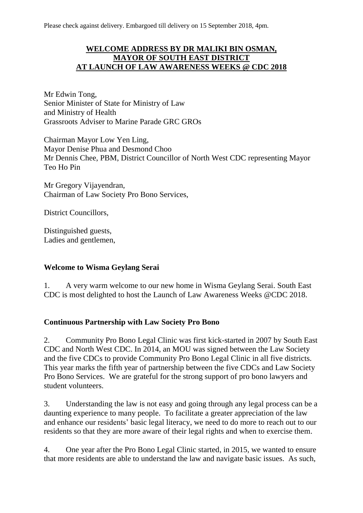Please check against delivery. Embargoed till delivery on 15 September 2018, 4pm.

### **WELCOME ADDRESS BY DR MALIKI BIN OSMAN, MAYOR OF SOUTH EAST DISTRICT AT LAUNCH OF LAW AWARENESS WEEKS @ CDC 2018**

Mr Edwin Tong, Senior Minister of State for Ministry of Law and Ministry of Health Grassroots Adviser to Marine Parade GRC GROs

Chairman Mayor Low Yen Ling, Mayor Denise Phua and Desmond Choo Mr Dennis Chee, PBM, District Councillor of North West CDC representing Mayor Teo Ho Pin

Mr Gregory Vijayendran, Chairman of Law Society Pro Bono Services,

District Councillors,

Distinguished guests, Ladies and gentlemen,

#### **Welcome to Wisma Geylang Serai**

1. A very warm welcome to our new home in Wisma Geylang Serai. South East CDC is most delighted to host the Launch of Law Awareness Weeks @CDC 2018.

#### **Continuous Partnership with Law Society Pro Bono**

2. Community Pro Bono Legal Clinic was first kick-started in 2007 by South East CDC and North West CDC. In 2014, an MOU was signed between the Law Society and the five CDCs to provide Community Pro Bono Legal Clinic in all five districts. This year marks the fifth year of partnership between the five CDCs and Law Society Pro Bono Services. We are grateful for the strong support of pro bono lawyers and student volunteers.

3. Understanding the law is not easy and going through any legal process can be a daunting experience to many people. To facilitate a greater appreciation of the law and enhance our residents' basic legal literacy, we need to do more to reach out to our residents so that they are more aware of their legal rights and when to exercise them.

4. One year after the Pro Bono Legal Clinic started, in 2015, we wanted to ensure that more residents are able to understand the law and navigate basic issues. As such,